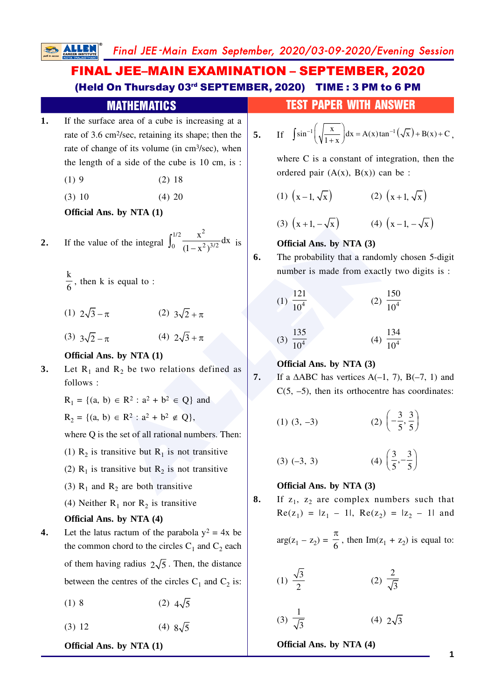Final JEE -Main Exam September, 2020/03-09-2020/Evening Session

#### and to :<br>  $\pi$  (2)  $3\sqrt{2} + \pi$ <br>  $\pi$  (4)  $2\sqrt{3} + \pi$ <br> **ALLENDERENTE (2)**  $3\sqrt{2} + \pi$ <br> **ALLENDERENTE (4)**  $2\sqrt{3} + \pi$ <br> **ALLENDERENTE (4)**  $2\sqrt{3} + \pi$ <br> **ALLENDERENTE (4)**  $2\sqrt{3} + \pi$ <br> **CERPENDERENTE (4)**  $\frac{121}{10^4}$  (4) **1.** If the surface area of a cube is increasing at a rate of 3.6 cm <sup>2</sup>/sec, retaining its shape; then the rate of change of its volume (in cm <sup>3</sup>/sec), when the length of a side of the cube is 10 cm, is :  $(1) 9$  (2) 18  $(3) 10$   $(4) 20$ **Official Ans. by NTA (1) 2.** If the value of the integral  $\int_0^{1/2} \frac{x^2}{(1-x^2)^{3/2}} dx$  $\int_0^{1/2} \frac{x}{(1-x^2)^{3/2}} dx$  is  $\frac{k}{6}$ , then k is equal to : (1)  $2\sqrt{3} - \pi$  (2)  $3\sqrt{2} + \pi$ (3)  $3\sqrt{2} - \pi$  (4)  $2\sqrt{3} + \pi$ **Official Ans. by NTA (1) 3.** Let  $R_1$  and  $R_2$  be two relations defined as follows :  $R_1 = \{(a, b) \in R^2 : a^2 + b^2 \in Q\}$  and  $R_2 = \{(a, b) \in R^2 : a^2 + b^2 \notin Q\},\$ where Q is the set of all rational numbers. Then: (1)  $R_2$  is transitive but  $R_1$  is not transitive (2)  $R_1$  is transitive but  $R_2$  is not transitive (3)  $R_1$  and  $R_2$  are both transitive (4) Neither  $R_1$  nor  $R_2$  is transitive **Official Ans. by NTA (4) 4.** Let the latus ractum of the parabola  $y^2 = 4x$  be the common chord to the circles  $C_1$  and  $C_2$  each of them having radius  $2\sqrt{5}$ . Then, the distance between the centres of the circles  $C_1$  and  $C_2$  is: (1) 8 (2)  $4\sqrt{5}$ (3) 12 (4)  $8\sqrt{5}$ FINAL JEE–MAIN EXAMINATION – SEPTEMBER, 2020 (Held On Thursday 03rd SEPTEMBER, 2020) TIME : 3 PM to 6 PM **MATHEMATICS TEST PAPER WITH ANSWER 5.** If  $\int \sin^{-1} \left( \sqrt{\frac{x}{1+x}} \right) dx = A(x) \tan^{-1} (\sqrt{x}) + B(x) + C$  $\int \sin^{-1} \left( \sqrt{\frac{x}{1+x}} \right) dx = A(x) \tan^{-1} (\sqrt{x}) + B(x) + C,$ where C is a constant of integration, then the ordered pair  $(A(x), B(x))$  can be :  $(1)$   $(x-1, \sqrt{x})$  $(2)$   $(x+1, \sqrt{x})$ (3)  $(x+1, -\sqrt{x})$  (4)  $(x-1, -\sqrt{x})$ **Official Ans. by NTA (3) 6.** The probability that a randomly chosen 5-digit number is made from exactly two digits is :  $(1)$   $\frac{10^4}{10^4}$ 121 10  $(2) \frac{1}{10^4}$ 150 10  $(3) \frac{10}{10^4}$ 135 10  $(4) \frac{1}{10^4}$ 134 10 **Official Ans. by NTA (3) 7.** If a  $\triangle ABC$  has vertices  $A(-1, 7)$ ,  $B(-7, 1)$  and  $C(5, -5)$ , then its orthocentre has coordinates:  $(1)$   $(3, -3)$  $\frac{3}{7}$ ,  $\frac{3}{7}$  $\left(-\frac{3}{5}, \frac{3}{5}\right)$  $(3) (-3, 3)$  $\frac{3}{2}, -\frac{3}{2}$  $\left(\frac{3}{5}, -\frac{3}{5}\right)$ **Official Ans. by NTA (3) 8.** If  $z_1$ ,  $z_2$  are complex numbers such that  $\text{Re}(z_1) = |z_1 - 1|, \text{Re}(z_2) = |z_2 - 1| \text{ and}$  $arg(z_1 - z_2) = \frac{\pi}{6}$ , then Im(z<sub>1</sub> + z<sub>2</sub>) is equal to: (1)  $\frac{\sqrt{3}}{2}$ (2)  $\frac{2}{\sqrt{3}}$ (3)  $\frac{1}{\sqrt{3}}$  $(4)$   $2\sqrt{3}$

**Official Ans. by NTA (1)**

**Official Ans. by NTA (4)**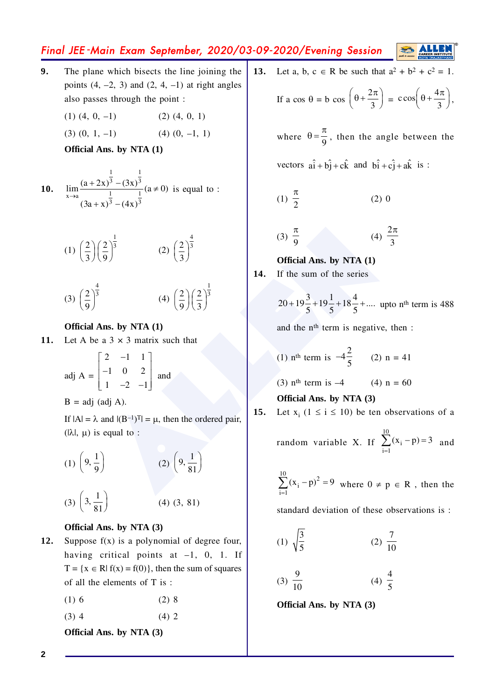# Final JEE -Main Exam September, 2020/03-09-2020/Evening Session

- **9.** The plane which bisects the line joining the points  $(4, -2, 3)$  and  $(2, 4, -1)$  at right angles also passes through the point :
	- $(1)$   $(4, 0, -1)$   $(2)$   $(4, 0, 1)$
	- $(3)$   $(0, 1, -1)$   $(4)$   $(0, -1, 1)$

**Official Ans. by NTA (1)**

**10.** 
$$
\lim_{x \to a} \frac{(a + 2x)^{\frac{1}{3}} - (3x)^{\frac{1}{3}}}{(3a + x)^{\frac{1}{3}} - (4x)^{\frac{1}{3}}} (a \neq 0)
$$
 is equal to :

(1) 
$$
\left(\frac{2}{3}\right)\left(\frac{2}{9}\right)^{\frac{1}{3}}
$$
 (2)  $\left(\frac{2}{3}\right)^{\frac{4}{3}}$ 

$$
(3) \left(\frac{2}{9}\right)^{\frac{4}{3}} \qquad (4) \left(\frac{2}{9}\right)\left(\frac{2}{3}\right)^{\frac{1}{3}}
$$

# **Official Ans. by NTA (1)**

11. Let A be a  $3 \times 3$  matrix such that

$$
adj A = \begin{bmatrix} 2 & -1 & 1 \\ -1 & 0 & 2 \\ 1 & -2 & -1 \end{bmatrix}
$$
 and

 $B = adj$  (adj A).

If  $|A| = \lambda$  and  $|(B^{-1})^T| = \mu$ , then the ordered pair,  $(l\lambda l, \mu)$  is equal to :

$$
(1) \left(\frac{2}{3}\right) \left(\frac{2}{9}\right)^{\frac{1}{3}}
$$
\n
$$
(2) \left(\frac{2}{3}\right)^{\frac{4}{3}}
$$
\n**Official Ans. by NTA (1)**\nOfficial Ans. by NTA (1)

\nOfficial Ans. by NTA (1)

\nOfficial Ans. by NTA (1)

\nand the n<sup>th</sup> term is negative, the

\nadj A =  $\begin{bmatrix} 2 & -1 & 1 \\ -1 & 0 & 2 \\ 1 & -2 & -1 \end{bmatrix}$  and

\n
$$
(3) \frac{\pi}{9}
$$
\nOfficial Ans. by NTA (1)

\nand the n<sup>th</sup> term is negative, the

\nand the n<sup>th</sup> term is negative, the

\nand the n<sup>th</sup> term is  $-4\frac{2}{5}$ 

\n(2) n =

\ndifficial Ans. by NTA (3)

\nif |A| =  $\lambda$  and |(B<sup>-1</sup>)<sup>T</sup>| =  $\mu$ , then the ordered pair,

\n
$$
(1) \left(9, \frac{1}{9}\right)
$$
\n(3)  $\left(9, \frac{1}{81}\right)$ 

\n(4) (3, 81)

\nand the number of terms is negative, the

\nof the right of the series

\n
$$
(2) \left(9, \frac{1}{81}\right)
$$
\nand the number of terms is negative, the

\n
$$
(3) \pi^{th}
$$
 term is  $-4\frac{2}{5}$ \n(4) (5, 81)

\nand the number of terms is negative, the

\n
$$
(3) \pi^{th}
$$
 term is  $-4\frac{2}{5}$ \nand the number of terms is negative, the

\n
$$
(4) \pi^{th}
$$
 term is  $-4\frac{2}{5}$ \nand the number of terms is negative, the

\n
$$
(5) \pi^{th}
$$
 term is  $-4\frac{2}{5}$ \nand the number of terms is negative, the

\n
$$
(6) \pi^{th}
$$
 term is  $-4\frac{2}{5}$ \nand the number of terms

## **Official Ans. by NTA (3)**

- **12.** Suppose f(x) is a polynomial of degree four, having critical points at  $-1$ , 0, 1. If  $T = \{x \in \mathbb{R} | f(x) = f(0)\}\$ , then the sum of squares of all the elements of T is :
	- $(1) 6$  (2) 8
	- $(3)$  4  $(4)$  2

**Official Ans. by NTA (3)**

**13.** Let a, b,  $c \in R$  be such that  $a^2 + b^2 + c^2 = 1$ .

If a cos 
$$
\theta = b
$$
 cos  $\left(\theta + \frac{2\pi}{3}\right) = c$  cos $\left(\theta + \frac{4\pi}{3}\right)$ ,

where  $\theta = \frac{\pi}{9}$ , then the angle between the vectors  $a\hat{i} + b\hat{j} + c\hat{k}$  and  $b\hat{i} + c\hat{j} + a\hat{k}$  is :

$$
(1) \frac{\pi}{2} \tag{2) 0}
$$

$$
(3) \frac{\pi}{9} \qquad (4) \frac{2\pi}{3}
$$

**Official Ans. by NTA (1) 14.** If the sum of the series

$$
20 + 19\frac{3}{5} + 19\frac{1}{5} + 18\frac{4}{5} + \dots
$$
 upto n<sup>th</sup> term is 488

and the nth term is negative, then :

(1) n<sup>th</sup> term is 
$$
-4\frac{2}{5}
$$
 (2) n = 41

(3) n<sup>th</sup> term is  $-4$  (4) n = 60

## **Official Ans. by NTA (3)**

**15.** Let 
$$
x_i
$$
 ( $1 \le i \le 10$ ) be ten observations of a

random variable X. If 
$$
\sum_{i=1}^{10} (x_i - p) = 3
$$
 and

 $\sum_{i=1}^{10} (x_i - p)^2$  $i = 1$  $\sum_{i=1}^{\infty} (x_i - p)^2 = 9$  where  $0 \neq p \in R$ , then the

standard deviation of these observations is :

$$
(1) \ \sqrt{\frac{3}{5}} \qquad \qquad (2) \ \frac{7}{10}
$$

$$
(3) \ \frac{9}{10} \qquad \qquad (4) \ \frac{4}{5}
$$

**Official Ans. by NTA (3)**

**2**